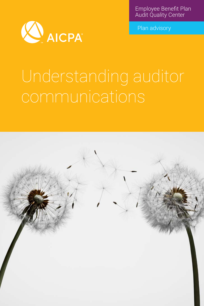Employee Benefit Plan Audit Quality Center



Plan advisory

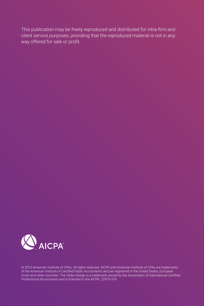This publication may be freely reproduced and distributed for intra-firm and client service purposes, providing that the reproduced material is not in any way offered for sale or profit.



© 2010 American Institute of CPAs. All rights reserved. AICPA and American Institute of CPAs are trademarks of the American Institute of Certified Public Accountants and are registered in the United States, European Union and other countries. The Globe Design is a trademark owned by the Association of International Certified Professional Accountants and is licensed to the AICPA. 22979-374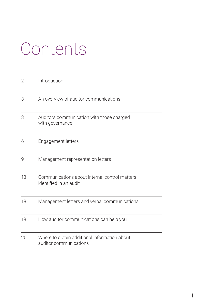## Contents

| 2  | Introduction                                                            |
|----|-------------------------------------------------------------------------|
| 3  | An overview of auditor communications                                   |
| 3  | Auditors communication with those charged<br>with governance            |
| 6  | Engagement letters                                                      |
| 9  | Management representation letters                                       |
| 13 | Communications about internal control matters<br>identified in an audit |
| 18 | Management letters and verbal communications                            |
| 19 | How auditor communications can help you                                 |
| 20 | Where to obtain additional information about<br>auditor communications  |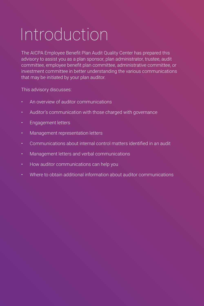# Introduction

The AICPA Employee Benefit Plan Audit Quality Center has prepared this advisory to assist you as a plan sponsor, plan administrator, trustee, audit committee, employee benefit plan committee, administrative committee, or investment committee in better understanding the various communications that may be initiated by your plan auditor.

This advisory discusses:

- An overview of auditor communications
- Auditor's communication with those charged with governance
- Engagement letters
- Management representation letters
- Communications about internal control matters identified in an audit
- Management letters and verbal communications
- How auditor communications can help you
- Where to obtain additional information about auditor communications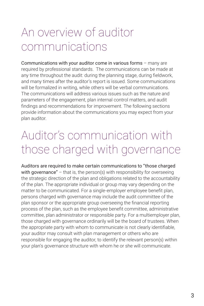### An overview of auditor communications

Communications with your auditor come in various forms – many are required by professional standards. The communications can be made at any time throughout the audit: during the planning stage, during fieldwork, and many times after the auditor's report is issued. Some communications will be formalized in writing, while others will be verbal communications. The communications will address various issues such as the nature and parameters of the engagement, plan internal control matters, and audit findings and recommendations for improvement. The following sections provide information about the communications you may expect from your plan auditor.

### Auditor's communication with those charged with governance

Auditors are required to make certain communications to "those charged with governance" – that is, the person(s) with responsibility for overseeing the strategic direction of the plan and obligations related to the accountability of the plan. The appropriate individual or group may vary depending on the matter to be communicated. For a single-employer employee benefit plan, persons charged with governance may include the audit committee of the plan sponsor or the appropriate group overseeing the financial reporting process of the plan, such as the employee benefit committee, administrative committee, plan administrator or responsible party. For a multiemployer plan, those charged with governance ordinarily will be the board of trustees. When the appropriate party with whom to communicate is not clearly identifiable, your auditor may consult with plan management or others who are responsible for engaging the auditor, to identify the relevant person(s) within your plan's governance structure with whom he or she will communicate.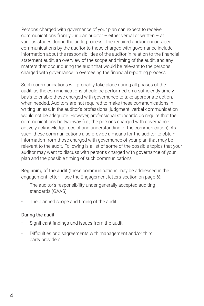Persons charged with governance of your plan can expect to receive communications from your plan auditor  $-$  either verbal or written  $-$  at various stages during the audit process. The required and/or encouraged communications by the auditor to those charged with governance include information about the responsibilities of the auditor in relation to the financial statement audit, an overview of the scope and timing of the audit, and any matters that occur during the audit that would be relevant to the persons charged with governance in overseeing the financial reporting process.

Such communications will probably take place during all phases of the audit, as the communications should be performed on a sufficiently timely basis to enable those charged with governance to take appropriate action, when needed. Auditors are not required to make these communications in writing unless, in the auditor's professional judgment, verbal communication would not be adequate. However, professional standards do require that the communications be two-way (i.e., the persons charged with governance actively acknowledge receipt and understanding of the communication). As such, these communications also provide a means for the auditor to obtain information from those charged with governance of your plan that may be relevant to the audit. Following is a list of some of the possible topics that your auditor may want to discuss with persons charged with governance of your plan and the possible timing of such communications:

Beginning of the audit (these communications may be addressed in the engagement letter – see the Engagement letters section on page 6):

- The auditor's responsibility under generally accepted auditing standards (GAAS)
- The planned scope and timing of the audit

#### During the audit:

- Significant findings and issues from the audit
- Difficulties or disagreements with management and/or third party providers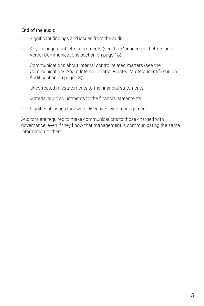#### End of the audit:

- Significant findings and issues from the audit
- Any management letter comments (see the Management Letters and Verbal Communications section on page 18)
- Communications about internal control related matters (see the Communications About Internal Control Related Matters Identified in an Audit section on page 13)
- Uncorrected misstatements to the financial statements
- Material audit adjustments to the financial statements
- Significant issues that were discussed with management

Auditors are required to make communications to those charged with governance, even if they know that management is communicating the same information to them.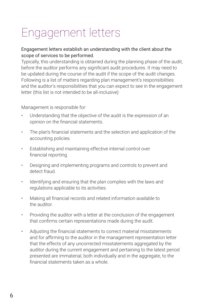## Engagement letters

#### Engagement letters establish an understanding with the client about the scope of services to be performed.

Typically, this understanding is obtained during the planning phase of the audit, before the auditor performs any significant audit procedures. It may need to be updated during the course of the audit if the scope of the audit changes. Following is a list of matters regarding plan management's responsibilities and the auditor's responsibilities that you can expect to see in the engagement letter (this list is not intended to be all-inclusive):

Management is responsible for:

- Understanding that the objective of the audit is the expression of an opinion on the financial statements.
- The plan's financial statements and the selection and application of the accounting policies.
- Establishing and maintaining effective internal control over financial reporting.
- Designing and implementing programs and controls to prevent and detect fraud.
- Identifying and ensuring that the plan complies with the laws and regulations applicable to its activities.
- Making all financial records and related information available to the auditor.
- Providing the auditor with a letter at the conclusion of the engagement that confirms certain representations made during the audit.
- Adjusting the financial statements to correct material misstatements and for affirming to the auditor in the management representation letter that the effects of any uncorrected misstatements aggregated by the auditor during the current engagement and pertaining to the latest period presented are immaterial, both individually and in the aggregate, to the financial statements taken as a whole.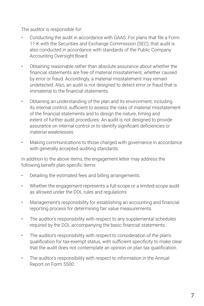The auditor is responsible for:

- Conducting the audit in accordance with GAAS. For plans that file a Form 11-K with the Securities and Exchange Commission (SEC), that audit is also conducted in accordance with standards of the Public Company Accounting Oversight Board.
- Obtaining reasonable rather than absolute assurance about whether the financial statements are free of material misstatement, whether caused by error or fraud. Accordingly, a material misstatement may remain undetected. Also, an audit is not designed to detect error or fraud that is immaterial to the financial statements.
- Obtaining an understanding of the plan and its environment, including its internal control, sufficient to assess the risks of material misstatement of the financial statements and to design the nature, timing and extent of further audit procedures. An audit is not designed to provide assurance on internal control or to identify significant deficiencies or material weaknesses.
- Making communications to those charged with governance in accordance with generally accepted auditing standards.

In addition to the above items, the engagement letter may address the following benefit plan-specific items:

- Detailing the estimated fees and billing arrangements.
- Whether the engagement represents a full-scope or a limited-scope audit as allowed under the DOL rules and regulations.
- Management's responsibility for establishing an accounting and financial reporting process for determining fair value measurements.
- The auditor's responsibility with respect to any supplemental schedules required by the DOL accompanying the basic financial statements.
- The auditor's responsibility with respect to consideration of the plan's qualification for tax-exempt status, with sufficient specificity to make clear that the audit does not contemplate an opinion on plan tax qualification.
- The auditor's responsibility with respect to information in the Annual Report on Form 5500.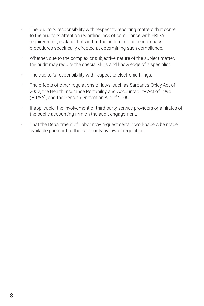- The auditor's responsibility with respect to reporting matters that come to the auditor's attention regarding lack of compliance with ERISA requirements, making it clear that the audit does not encompass procedures specifically directed at determining such compliance.
- Whether, due to the complex or subjective nature of the subject matter, the audit may require the special skills and knowledge of a specialist.
- The auditor's responsibility with respect to electronic filings.
- The effects of other regulations or laws, such as Sarbanes-Oxley Act of 2002, the Health Insurance Portability and Accountability Act of 1996 (HIPAA), and the Pension Protection Act of 2006.
- If applicable, the involvement of third party service providers or affiliates of the public accounting firm on the audit engagement.
- That the Department of Labor may request certain workpapers be made available pursuant to their authority by law or regulation.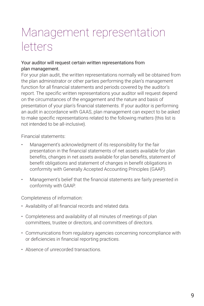#### Management representation letters

#### Your auditor will request certain written representations from plan management.

For your plan audit, the written representations normally will be obtained from the plan administrator or other parties performing the plan's management function for all financial statements and periods covered by the auditor's report. The specific written representations your auditor will request depend on the circumstances of the engagement and the nature and basis of presentation of your plan's financial statements. If your auditor is performing an audit in accordance with GAAS, plan management can expect to be asked to make specific representations related to the following matters (this list is not intended to be all-inclusive).

Financial statements:

- Management's acknowledgment of its responsibility for the fair presentation in the financial statements of net assets available for plan benefits, changes in net assets available for plan benefits, statement of benefit obligations and statement of changes in benefit obligations in conformity with Generally Accepted Accounting Principles (GAAP).
- Management's belief that the financial statements are fairly presented in conformity with GAAP.

Completeness of information:

- Availability of all financial records and related data.
- Completeness and availability of all minutes of meetings of plan committees, trustee or directors, and committees of directors.
- Communications from regulatory agencies concerning noncompliance with or deficiencies in financial reporting practices.
- Absence of unrecorded transactions.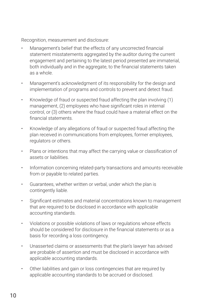Recognition, measurement and disclosure:

- Management's belief that the effects of any uncorrected financial statement misstatements aggregated by the auditor during the current engagement and pertaining to the latest period presented are immaterial, both individually and in the aggregate, to the financial statements taken as a whole.
- Management's acknowledgment of its responsibility for the design and implementation of programs and controls to prevent and detect fraud.
- Knowledge of fraud or suspected fraud affecting the plan involving (1) management, (2) employees who have significant roles in internal control, or (3) others where the fraud could have a material effect on the financial statements.
- Knowledge of any allegations of fraud or suspected fraud affecting the plan received in communications from employees, former employees, regulators or others.
- Plans or intentions that may affect the carrying value or classification of assets or liabilities.
- Information concerning related-party transactions and amounts receivable from or payable to related parties.
- Guarantees, whether written or verbal, under which the plan is contingently liable.
- Significant estimates and material concentrations known to management that are required to be disclosed in accordance with applicable accounting standards.
- Violations or possible violations of laws or regulations whose effects should be considered for disclosure in the financial statements or as a basis for recording a loss contingency.
- Unasserted claims or assessments that the plan's lawyer has advised are probable of assertion and must be disclosed in accordance with applicable accounting standards.
- Other liabilities and gain or loss contingencies that are required by applicable accounting standards to be accrued or disclosed.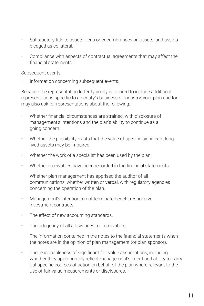- Satisfactory title to assets, liens or encumbrances on assets, and assets pledged as collateral.
- Compliance with aspects of contractual agreements that may affect the financial statements.

Subsequent events:

• Information concerning subsequent events.

Because the representation letter typically is tailored to include additional representations specific to an entity's business or industry, your plan auditor may also ask for representations about the following:

- Whether financial circumstances are strained, with disclosure of management's intentions and the plan's ability to continue as a going concern.
- Whether the possibility exists that the value of specific significant longlived assets may be impaired.
- Whether the work of a specialist has been used by the plan.
- Whether receivables have been recorded in the financial statements.
- Whether plan management has apprised the auditor of all communications, whether written or verbal, with regulatory agencies concerning the operation of the plan.
- Management's intention to not terminate benefit responsive investment contracts.
- The effect of new accounting standards.
- The adequacy of all allowances for receivables.
- The information contained in the notes to the financial statements when the notes are in the opinion of plan management (or plan sponsor).
- The reasonableness of significant fair value assumptions, including whether they appropriately reflect management's intent and ability to carry out specific courses of action on behalf of the plan where relevant to the use of fair value measurements or disclosures.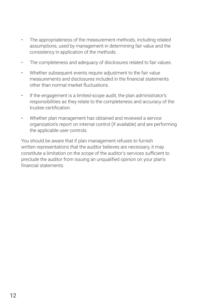- The appropriateness of the measurement methods, including related assumptions, used by management in determining fair value and the consistency in application of the methods.
- The completeness and adequacy of disclosures related to fair values.
- Whether subsequent events require adjustment to the fair value measurements and disclosures included in the financial statements other than normal market fluctuations.
- If the engagement is a limited-scope audit, the plan administrator's responsibilities as they relate to the completeness and accuracy of the trustee certification.
- Whether plan management has obtained and reviewed a service organization's report on internal control (if available) and are performing the applicable user controls.

You should be aware that if plan management refuses to furnish written representations that the auditor believes are necessary, it may constitute a limitation on the scope of the auditor's services sufficient to preclude the auditor from issuing an unqualified opinion on your plan's financial statements.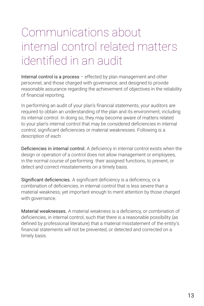### Communications about internal control related matters identified in an audit

Internal control is a process – effected by plan management and other personnel, and those charged with governance, and designed to provide reasonable assurance regarding the achievement of objectives in the reliability of financial reporting.

In performing an audit of your plan's financial statements, your auditors are required to obtain an understanding of the plan and its environment, including its internal control. In doing so, they may become aware of matters related to your plan's internal control that may be considered deficiencies in internal control, significant deficiencies or material weaknesses. Following is a description of each:

Deficiencies in internal control. A deficiency in internal control exists when the design or operation of a control does not allow management or employees, in the normal course of performing their assigned functions, to prevent, or detect and correct misstatements on a timely basis.

Significant deficiencies. A significant deficiency is a deficiency, or a combination of deficiencies, in internal control that is less severe than a material weakness, yet important enough to merit attention by those charged with governance.

Material weaknesses. A material weakness is a deficiency, or combination of deficiencies, in internal control, such that there is a reasonable possibility (as defined by professional literature) that a material misstatement of the entity's financial statements will not be prevented, or detected and corrected on a timely basis.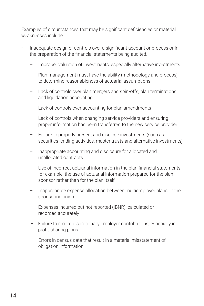Examples of circumstances that may be significant deficiencies or material weaknesses include:

- Inadequate design of controls over a significant account or process or in the preparation of the financial statements being audited.
	- Improper valuation of investments, especially alternative investments
	- Plan management must have the ability (methodology and process) to determine reasonableness of actuarial assumptions
	- Lack of controls over plan mergers and spin-offs, plan terminations and liquidation accounting
	- Lack of controls over accounting for plan amendments
	- Lack of controls when changing service providers and ensuring proper information has been transferred to the new service provider
	- Failure to properly present and disclose investments (such as securities lending activities, master trusts and alternative investments)
	- Inappropriate accounting and disclosure for allocated and unallocated contracts
	- Use of incorrect actuarial information in the plan financial statements, for example, the use of actuarial information prepared for the plan sponsor rather than for the plan itself
	- Inappropriate expense allocation between multiemployer plans or the sponsoring union
	- Expenses incurred but not reported (IBNR), calculated or recorded accurately
	- Failure to record discretionary employer contributions, especially in profit-sharing plans
	- Errors in census data that result in a material misstatement of obligation information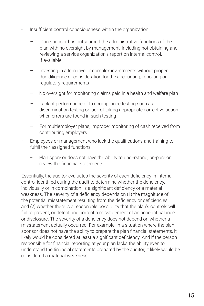- Insufficient control consciousness within the organization.
	- Plan sponsor has outsourced the administrative functions of the plan with no oversight by management, including not obtaining and reviewing a service organization's report on internal control, if available
	- Investing in alternative or complex investments without proper due diligence or consideration for the accounting, reporting or regulatory requirements
	- No oversight for monitoring claims paid in a health and welfare plan
	- Lack of performance of tax compliance testing such as discrimination testing or lack of taking appropriate corrective action when errors are found in such testing
	- For multiemployer plans, improper monitoring of cash received from contributing employers
- Employees or management who lack the qualifications and training to fulfill their assigned functions.
	- Plan sponsor does not have the ability to understand, prepare or review the financial statements

Essentially, the auditor evaluates the severity of each deficiency in internal control identified during the audit to determine whether the deficiency, individually or in combination, is a significant deficiency or a material weakness. The severity of a deficiency depends on (1) the magnitude of the potential misstatement resulting from the deficiency or deficiencies; and (2) whether there is a reasonable possibility that the plan's controls will fail to prevent, or detect and correct a misstatement of an account balance or disclosure. The severity of a deficiency does not depend on whether a misstatement actually occurred. For example, in a situation where the plan sponsor does not have the ability to prepare the plan financial statements, it likely would be considered at least a significant deficiency. And if the person responsible for financial reporting at your plan lacks the ability even to understand the financial statements prepared by the auditor, it likely would be considered a material weakness.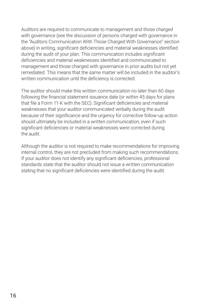Auditors are required to communicate to management and those charged with governance (see the discussion of persons charged with governance in the "Auditors Communication With Those Charged With Governance" section above) in writing, significant deficiencies and material weaknesses identified during the audit of your plan. This communication includes significant deficiencies and material weaknesses identified and communicated to management and those charged with governance in prior audits but not yet remediated. This means that the same matter will be included in the auditor's written communication until the deficiency is corrected.

The auditor should make this written communication no later than 60 days following the financial statement issuance date (or within 45 days for plans that file a Form 11-K with the SEC). Significant deficiencies and material weaknesses that your auditor communicated verbally during the audit because of their significance and the urgency for corrective follow-up action should ultimately be included in a written communication, even if such significant deficiencies or material weaknesses were corrected during the audit.

Although the auditor is not required to make recommendations for improving internal control, they are not precluded from making such recommendations. If your auditor does not identify any significant deficiencies, professional standards state that the auditor should not issue a written communication stating that no significant deficiencies were identified during the audit.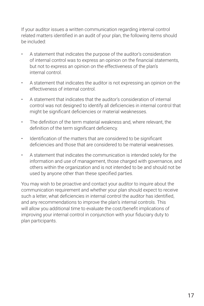If your auditor issues a written communication regarding internal control related matters identified in an audit of your plan, the following items should be included:

- A statement that indicates the purpose of the auditor's consideration of internal control was to express an opinion on the financial statements, but not to express an opinion on the effectiveness of the plan's internal control.
- A statement that indicates the auditor is not expressing an opinion on the effectiveness of internal control.
- A statement that indicates that the auditor's consideration of internal control was not designed to identify all deficiencies in internal control that might be significant deficiencies or material weaknesses.
- The definition of the term material weakness and, where relevant, the definition of the term significant deficiency.
- Identification of the matters that are considered to be significant deficiencies and those that are considered to be material weaknesses.
- A statement that indicates the communication is intended solely for the information and use of management, those charged with governance, and others within the organization and is not intended to be and should not be used by anyone other than these specified parties.

You may wish to be proactive and contact your auditor to inquire about the communication requirement and whether your plan should expect to receive such a letter, what deficiencies in internal control the auditor has identified, and any recommendations to improve the plan's internal controls. This will allow you additional time to evaluate the cost/benefit implications of improving your internal control in conjunction with your fiduciary duty to plan participants.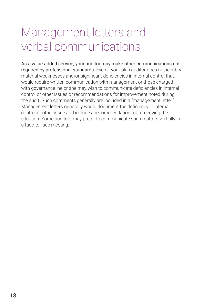### Management letters and verbal communications

As a value-added service, your auditor may make other communications not required by professional standards. Even if your plan auditor does not identify material weaknesses and/or significant deficiencies in internal control that would require written communication with management or those charged with governance, he or she may wish to communicate deficiencies in internal control or other issues or recommendations for improvement noted during the audit. Such comments generally are included in a "management letter." Management letters generally would document the deficiency in internal control or other issue and include a recommendation for remedying the situation. Some auditors may prefer to communicate such matters verbally in a face-to-face meeting.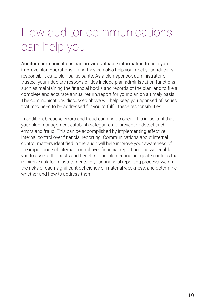### How auditor communications can help you

Auditor communications can provide valuable information to help you improve plan operations – and they can also help you meet your fiduciary responsibilities to plan participants. As a plan sponsor, administrator or trustee, your fiduciary responsibilities include plan administration functions such as maintaining the financial books and records of the plan, and to file a complete and accurate annual return/report for your plan on a timely basis. The communications discussed above will help keep you apprised of issues that may need to be addressed for you to fulfill these responsibilities.

In addition, because errors and fraud can and do occur, it is important that your plan management establish safeguards to prevent or detect such errors and fraud. This can be accomplished by implementing effective internal control over financial reporting. Communications about internal control matters identified in the audit will help improve your awareness of the importance of internal control over financial reporting, and will enable you to assess the costs and benefits of implementing adequate controls that minimize risk for misstatements in your financial reporting process, weigh the risks of each significant deficiency or material weakness, and determine whether and how to address them.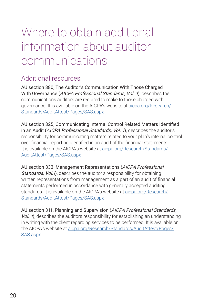### Where to obtain additional information about auditor communications

#### Additional resources:

AU section 380, The Auditor's Communication With Those Charged With Governance (AICPA Professional Standards, Vol. 1), describes the communications auditors are required to make to those charged with governance. It is available on the AICPA's website at [aicpa.org/Research/](http://aicpa.org/Research/Standards/AuditAttest/Pages/SAS.aspx ) [Standards/AuditAttest/Pages/SAS.aspx](http://aicpa.org/Research/Standards/AuditAttest/Pages/SAS.aspx )

AU section 325, Communicating Internal Control Related Matters Identified in an Audit (AICPA Professional Standards, Vol. 1), describes the auditor's responsibility for communicating matters related to your plan's internal control over financial reporting identified in an audit of the financial statements. It is available on the AICPA's website at [aicpa.org/Research/Standards/](http://aicpa.org/Research/Standards/AuditAttest/Pages/SAS.aspx ) [AuditAttest/Pages/SAS.aspx](http://aicpa.org/Research/Standards/AuditAttest/Pages/SAS.aspx )

AU section 333, Management Representations (AICPA Professional Standards, Vol.1), describes the auditor's responsibility for obtaining written representations from management as a part of an audit of financial statements performed in accordance with generally accepted auditing standards. It is available on the AICPA's website at [aicpa.org/Research/](http://aicpa.org/Research/Standards/AuditAttest/Pages/SAS.aspx) [Standards/AuditAttest/Pages/SAS.aspx](http://aicpa.org/Research/Standards/AuditAttest/Pages/SAS.aspx)

AU section 311, Planning and Supervision (AICPA Professional Standards, Vol. 1), describes the auditors responsibility for establishing an understanding in writing with the client regarding services to be performed. It is available on the AICPA's website at [aicpa.org/Research/Standards/AuditAttest/Pages/](http://aicpa.org/Research/Standards/AuditAttest/Pages/SAS.aspx) [SAS.aspx](http://aicpa.org/Research/Standards/AuditAttest/Pages/SAS.aspx)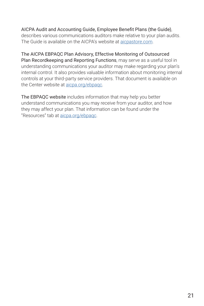#### AICPA Audit and Accounting Guide, Employee Benefit Plans (the Guide),

describes various communications auditors make relative to your plan audits. The Guide is available on the AICPA's website at [aicpastore.com.](http://aicpastore.com)

The AICPA EBPAQC Plan Advisory, Effective Monitoring of Outsourced Plan Recordkeeping and Reporting Functions, may serve as a useful tool in understanding communications your auditor may make regarding your plan's internal control. It also provides valuable information about monitoring internal controls at your third-party service providers. That document is available on the Center website at [aicpa.org/ebpaqc](http://aicpa.org/ebpaqc).

The EBPAQC website includes information that may help you better understand communications you may receive from your auditor, and how they may affect your plan. That information can be found under the "Resources" tab at [aicpa.org/ebpaqc](http://aicpa.org/ebpaqc).